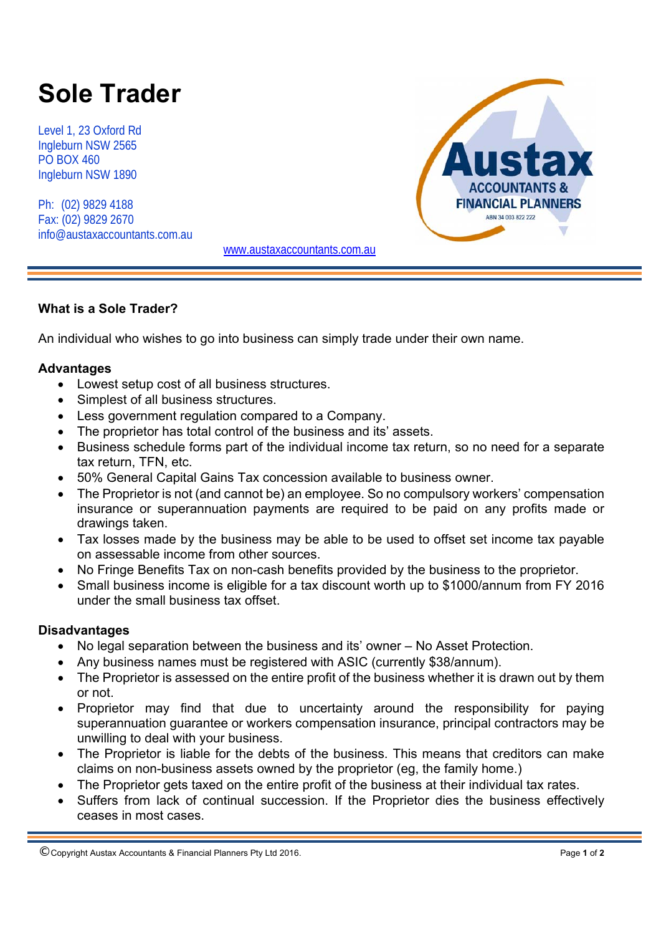# **Sole Trader**

Level 1, 23 Oxford Rd Ingleburn NSW 2565 PO BOX 460 Ingleburn NSW 1890

Ph: (02) 9829 4188 Fax: (02) 9829 2670 info@austaxaccountants.com.au



www.austaxaccountants.com.au

# **What is a Sole Trader?**

An individual who wishes to go into business can simply trade under their own name.

## **Advantages**

- Lowest setup cost of all business structures.
- Simplest of all business structures.
- Less government regulation compared to a Company.
- The proprietor has total control of the business and its' assets.
- Business schedule forms part of the individual income tax return, so no need for a separate tax return, TFN, etc.
- 50% General Capital Gains Tax concession available to business owner.
- The Proprietor is not (and cannot be) an employee. So no compulsory workers' compensation insurance or superannuation payments are required to be paid on any profits made or drawings taken.
- Tax losses made by the business may be able to be used to offset set income tax payable on assessable income from other sources.
- No Fringe Benefits Tax on non-cash benefits provided by the business to the proprietor.
- Small business income is eligible for a tax discount worth up to \$1000/annum from FY 2016 under the small business tax offset.

#### **Disadvantages**

- No legal separation between the business and its' owner No Asset Protection.
- Any business names must be registered with ASIC (currently \$38/annum).
- The Proprietor is assessed on the entire profit of the business whether it is drawn out by them or not.
- Proprietor may find that due to uncertainty around the responsibility for paying superannuation guarantee or workers compensation insurance, principal contractors may be unwilling to deal with your business.
- The Proprietor is liable for the debts of the business. This means that creditors can make claims on non-business assets owned by the proprietor (eg, the family home.)
- The Proprietor gets taxed on the entire profit of the business at their individual tax rates.
- Suffers from lack of continual succession. If the Proprietor dies the business effectively ceases in most cases.

© Copyright Austax Accountants & Financial Planners Pty Ltd 2016. Page **1** of **<sup>2</sup>**